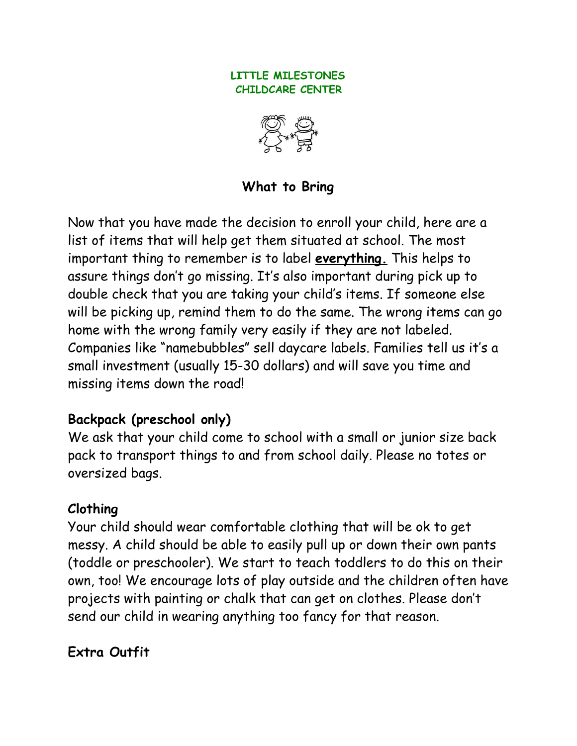#### **LITTLE MILESTONES CHILDCARE CENTER**



**What to Bring** 

Now that you have made the decision to enroll your child, here are a list of items that will help get them situated at school. The most important thing to remember is to label **everything.** This helps to assure things don't go missing. It's also important during pick up to double check that you are taking your child's items. If someone else will be picking up, remind them to do the same. The wrong items can go home with the wrong family very easily if they are not labeled. Companies like "namebubbles" sell daycare labels. Families tell us it's a small investment (usually 15-30 dollars) and will save you time and missing items down the road!

### **Backpack (preschool only)**

We ask that your child come to school with a small or junior size back pack to transport things to and from school daily. Please no totes or oversized bags.

### **Clothing**

Your child should wear comfortable clothing that will be ok to get messy. A child should be able to easily pull up or down their own pants (toddle or preschooler). We start to teach toddlers to do this on their own, too! We encourage lots of play outside and the children often have projects with painting or chalk that can get on clothes. Please don't send our child in wearing anything too fancy for that reason.

# **Extra Outfit**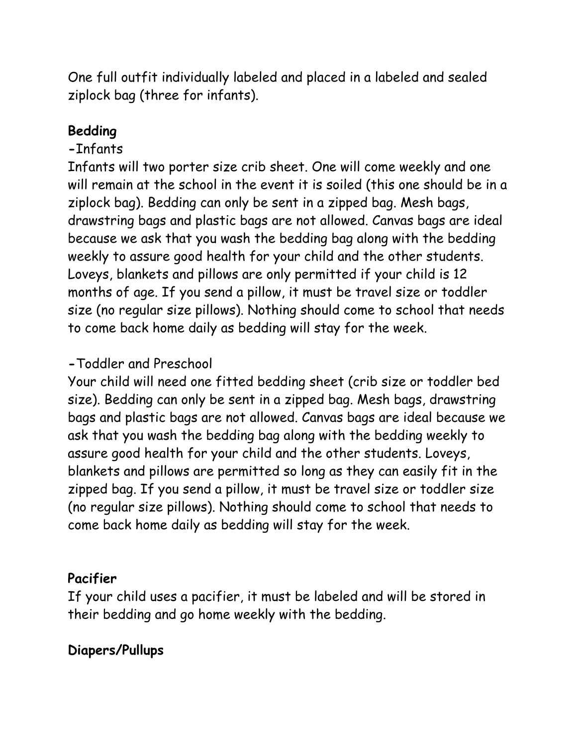One full outfit individually labeled and placed in a labeled and sealed ziplock bag (three for infants).

# **Bedding**

# **-**Infants

Infants will two porter size crib sheet. One will come weekly and one will remain at the school in the event it is soiled (this one should be in a ziplock bag). Bedding can only be sent in a zipped bag. Mesh bags, drawstring bags and plastic bags are not allowed. Canvas bags are ideal because we ask that you wash the bedding bag along with the bedding weekly to assure good health for your child and the other students. Loveys, blankets and pillows are only permitted if your child is 12 months of age. If you send a pillow, it must be travel size or toddler size (no regular size pillows). Nothing should come to school that needs to come back home daily as bedding will stay for the week.

# **-**Toddler and Preschool

Your child will need one fitted bedding sheet (crib size or toddler bed size). Bedding can only be sent in a zipped bag. Mesh bags, drawstring bags and plastic bags are not allowed. Canvas bags are ideal because we ask that you wash the bedding bag along with the bedding weekly to assure good health for your child and the other students. Loveys, blankets and pillows are permitted so long as they can easily fit in the zipped bag. If you send a pillow, it must be travel size or toddler size (no regular size pillows). Nothing should come to school that needs to come back home daily as bedding will stay for the week.

# **Pacifier**

If your child uses a pacifier, it must be labeled and will be stored in their bedding and go home weekly with the bedding.

# **Diapers/Pullups**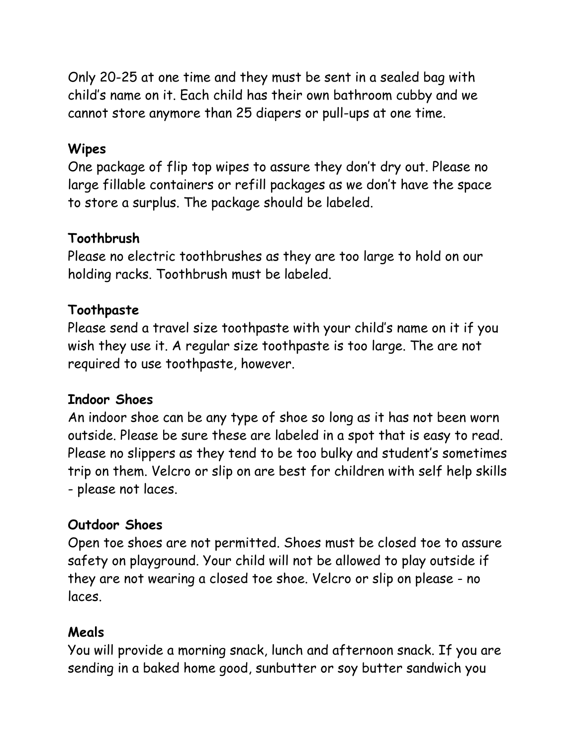Only 20-25 at one time and they must be sent in a sealed bag with child's name on it. Each child has their own bathroom cubby and we cannot store anymore than 25 diapers or pull-ups at one time.

### **Wipes**

One package of flip top wipes to assure they don't dry out. Please no large fillable containers or refill packages as we don't have the space to store a surplus. The package should be labeled.

### **Toothbrush**

Please no electric toothbrushes as they are too large to hold on our holding racks. Toothbrush must be labeled.

# **Toothpaste**

Please send a travel size toothpaste with your child's name on it if you wish they use it. A regular size toothpaste is too large. The are not required to use toothpaste, however.

### **Indoor Shoes**

An indoor shoe can be any type of shoe so long as it has not been worn outside. Please be sure these are labeled in a spot that is easy to read. Please no slippers as they tend to be too bulky and student's sometimes trip on them. Velcro or slip on are best for children with self help skills - please not laces.

### **Outdoor Shoes**

Open toe shoes are not permitted. Shoes must be closed toe to assure safety on playground. Your child will not be allowed to play outside if they are not wearing a closed toe shoe. Velcro or slip on please - no laces.

### **Meals**

You will provide a morning snack, lunch and afternoon snack. If you are sending in a baked home good, sunbutter or soy butter sandwich you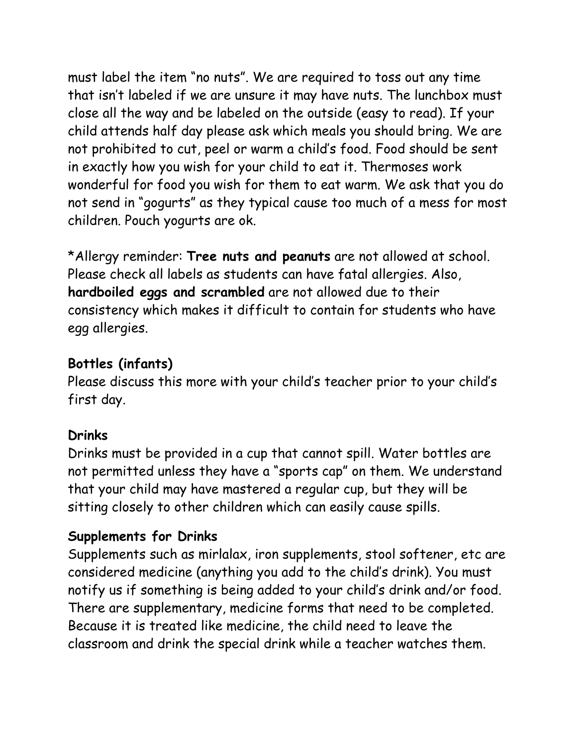must label the item "no nuts". We are required to toss out any time that isn't labeled if we are unsure it may have nuts. The lunchbox must close all the way and be labeled on the outside (easy to read). If your child attends half day please ask which meals you should bring. We are not prohibited to cut, peel or warm a child's food. Food should be sent in exactly how you wish for your child to eat it. Thermoses work wonderful for food you wish for them to eat warm. We ask that you do not send in "gogurts" as they typical cause too much of a mess for most children. Pouch yogurts are ok.

\*Allergy reminder: **Tree nuts and peanuts** are not allowed at school. Please check all labels as students can have fatal allergies. Also, **hardboiled eggs and scrambled** are not allowed due to their consistency which makes it difficult to contain for students who have egg allergies.

# **Bottles (infants)**

Please discuss this more with your child's teacher prior to your child's first day.

### **Drinks**

Drinks must be provided in a cup that cannot spill. Water bottles are not permitted unless they have a "sports cap" on them. We understand that your child may have mastered a regular cup, but they will be sitting closely to other children which can easily cause spills.

# **Supplements for Drinks**

Supplements such as mirlalax, iron supplements, stool softener, etc are considered medicine (anything you add to the child's drink). You must notify us if something is being added to your child's drink and/or food. There are supplementary, medicine forms that need to be completed. Because it is treated like medicine, the child need to leave the classroom and drink the special drink while a teacher watches them.